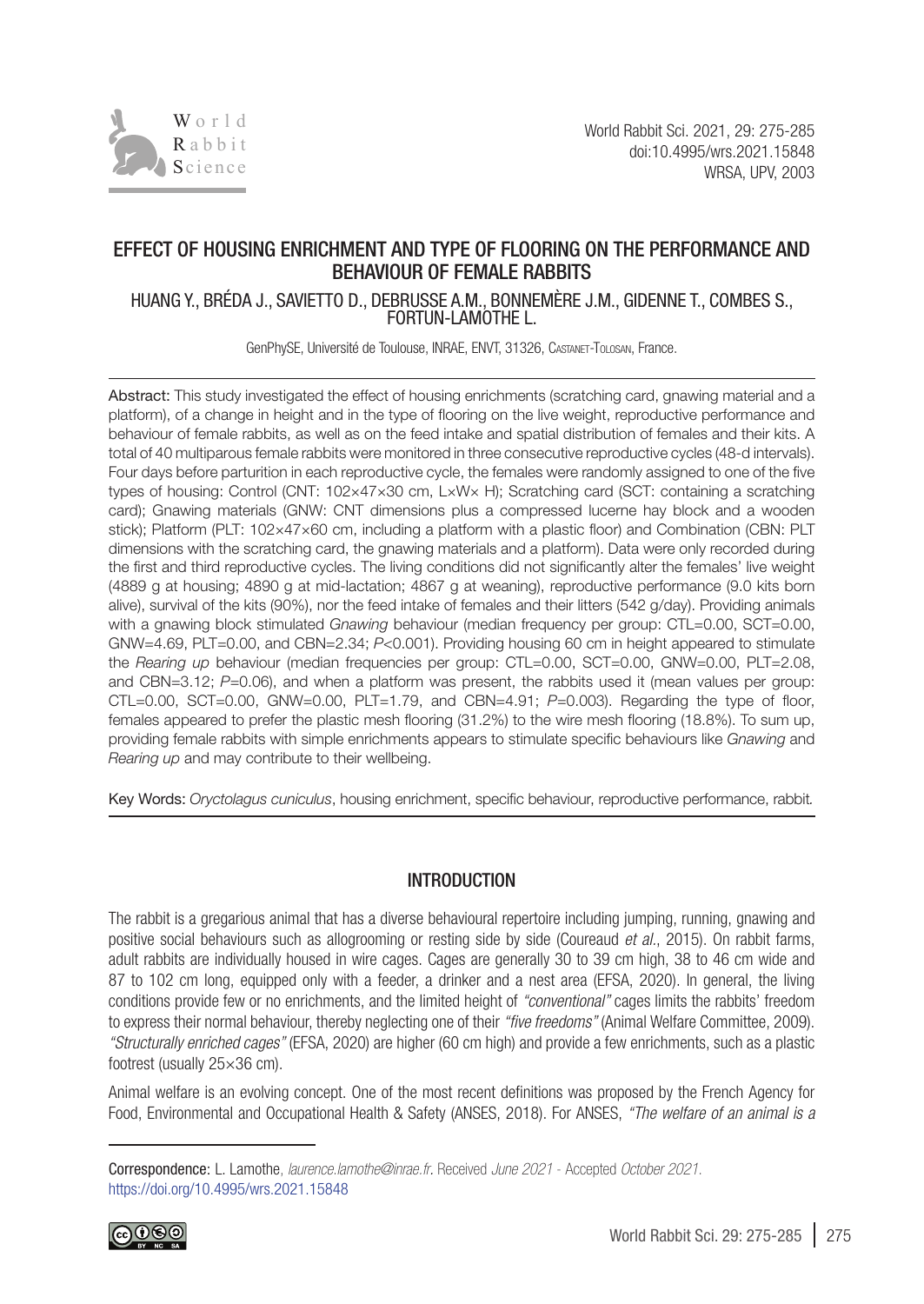

# EFFECT OF HOUSING ENRICHMENT AND TYPE OF FLOORING ON THE PERFORMANCE AND BEHAVIOUR OF FEMALE RABBITS

HUANG Y., BRÉDA J., SAVIETTO D., DEBRUSSE A.M., BONNEMÈRE J.M., GIDENNE T., COMBES S., FORTUN-LAMOTHE L.

GenPhySE, Université de Toulouse, INRAE, ENVT, 31326, Castanet-Tolosan, France.

Abstract: This study investigated the effect of housing enrichments (scratching card, gnawing material and a platform), of a change in height and in the type of flooring on the live weight, reproductive performance and behaviour of female rabbits, as well as on the feed intake and spatial distribution of females and their kits. A total of 40 multiparous female rabbits were monitored in three consecutive reproductive cycles (48-d intervals). Four days before parturition in each reproductive cycle, the females were randomly assigned to one of the five types of housing: Control (CNT: 102×47×30 cm, L×W× H); Scratching card (SCT: containing a scratching card); Gnawing materials (GNW: CNT dimensions plus a compressed lucerne hay block and a wooden stick); Platform (PLT: 102×47×60 cm, including a platform with a plastic floor) and Combination (CBN: PLT dimensions with the scratching card, the gnawing materials and a platform). Data were only recorded during the first and third reproductive cycles. The living conditions did not significantly alter the females' live weight (4889 g at housing; 4890 g at mid-lactation; 4867 g at weaning), reproductive performance (9.0 kits born alive), survival of the kits (90%), nor the feed intake of females and their litters (542 g/day). Providing animals with a gnawing block stimulated *Gnawing* behaviour (median frequency per group: CTL=0.00, SCT=0.00, GNW=4.69, PLT=0.00, and CBN=2.34; *P*<0.001). Providing housing 60 cm in height appeared to stimulate the *Rearing up* behaviour (median frequencies per group: CTL=0.00, SCT=0.00, GNW=0.00, PLT=2.08, and CBN=3.12; *P*=0.06), and when a platform was present, the rabbits used it (mean values per group: CTL=0.00, SCT=0.00, GNW=0.00, PLT=1.79, and CBN=4.91; *P*=0.003). Regarding the type of floor, females appeared to prefer the plastic mesh flooring (31.2%) to the wire mesh flooring (18.8%). To sum up, providing female rabbits with simple enrichments appears to stimulate specific behaviours like *Gnawing* and *Rearing up* and may contribute to their wellbeing.

Key Words: *Oryctolagus cuniculus*, housing enrichment, specific behaviour, reproductive performance, rabbit*.*

### INTRODUCTION

The rabbit is a gregarious animal that has a diverse behavioural repertoire including jumping, running, gnawing and positive social behaviours such as allogrooming or resting side by side [\(Coureaud](#page-9-0) *et al.*, 2015). On rabbit farms, adult rabbits are individually housed in wire cages. Cages are generally 30 to 39 cm high, 38 to 46 cm wide and 87 to 102 cm long, equipped only with a feeder, a drinker and a nest area ([EFSA, 2020\)](#page-9-1). In general, the living conditions provide few or no enrichments, and the limited height of *"conventional"* cages limits the rabbits' freedom to express their normal behaviour, thereby neglecting one of their *"five freedoms"* ([Animal Welfare Committee, 2009](#page-9-2)). *"Structurally enriched cages"* ([EFSA, 2020\)](#page-9-1) are higher (60 cm high) and provide a few enrichments, such as a plastic footrest (usually 25×36 cm).

Animal welfare is an evolving concept. One of the most recent definitions was proposed by the French Agency for Food, Environmental and Occupational Health & Safety [\(ANSES, 2018](#page-9-3)). For ANSES, *"The welfare of an animal is a* 

Correspondence: L. Lamothe, *laurence.lamothe@inrae.fr.* Received *June 2021* - Accepted *October 2021*. https://doi.org/10.4995/wrs.2021.15848

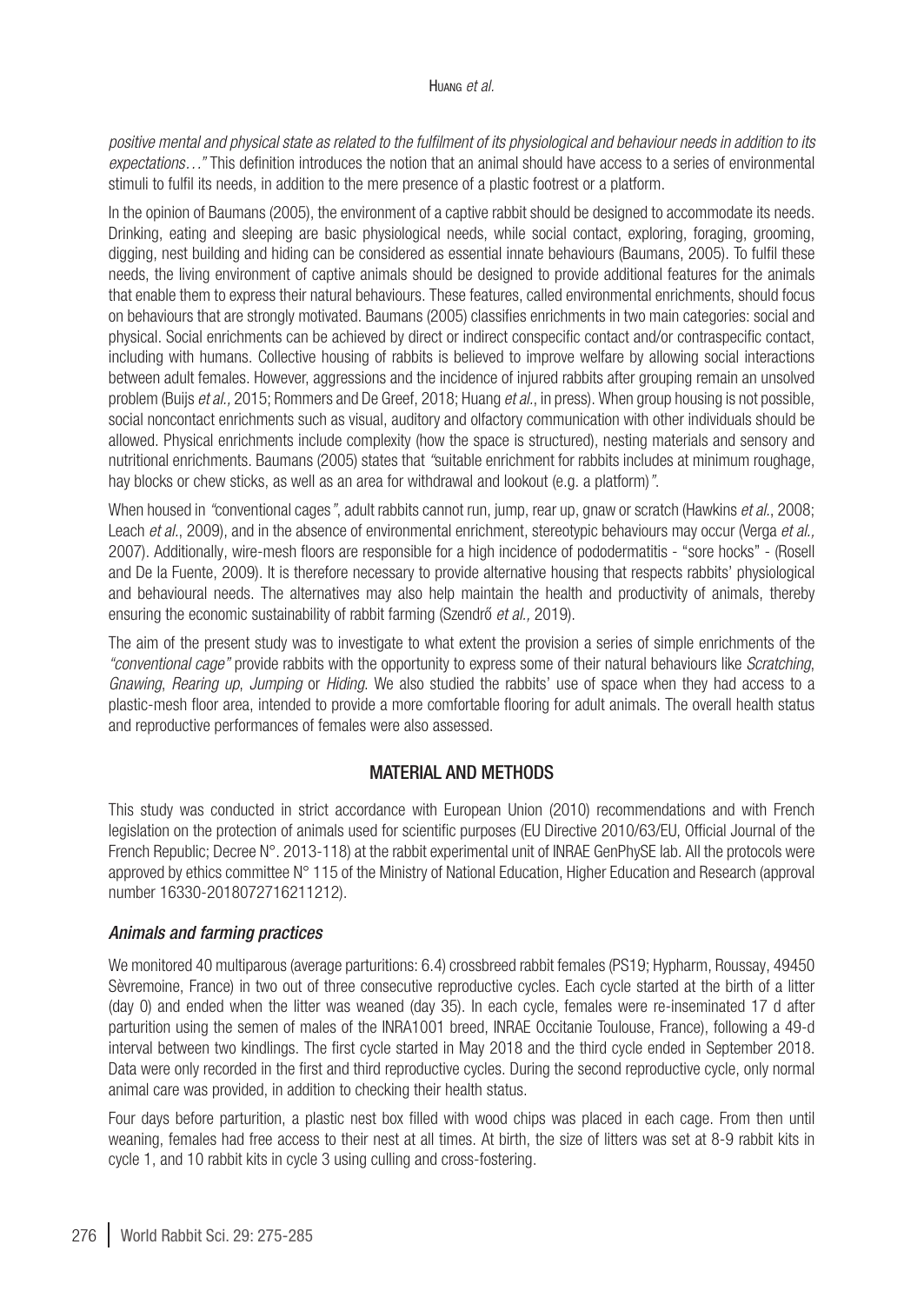#### Huang *et al.*

*positive mental and physical state as related to the fulfilment of its physiological and behaviour needs in addition to its expectations…"* This definition introduces the notion that an animal should have access to a series of environmental stimuli to fulfil its needs, in addition to the mere presence of a plastic footrest or a platform.

In the opinion of [Baumans \(2005\)](#page-9-4), the environment of a captive rabbit should be designed to accommodate its needs. Drinking, eating and sleeping are basic physiological needs, while social contact, exploring, foraging, grooming, digging, nest building and hiding can be considered as essential innate behaviours ([Baumans, 2005](#page-9-4)). To fulfil these needs, the living environment of captive animals should be designed to provide additional features for the animals that enable them to express their natural behaviours. These features, called environmental enrichments, should focus on behaviours that are strongly motivated. [Baumans \(2005\)](#page-9-4) classifies enrichments in two main categories: social and physical. Social enrichments can be achieved by direct or indirect conspecific contact and/or contraspecific contact, including with humans. Collective housing of rabbits is believed to improve welfare by allowing social interactions between adult females. However, aggressions and the incidence of injured rabbits after grouping remain an unsolved problem (Buijs *et al.,* [2015](#page-9-5); [Rommers and De Greef, 2018](#page-10-0); Huang *et al.*[, in press\)](#page-10-1). When group housing is not possible, social noncontact enrichments such as visual, auditory and olfactory communication with other individuals should be allowed. Physical enrichments include complexity (how the space is structured), nesting materials and sensory and nutritional enrichments. [Baumans \(2005\)](#page-9-4) states that *"*suitable enrichment for rabbits includes at minimum roughage, hay blocks or chew sticks, as well as an area for withdrawal and lookout (e.g. a platform)*"*.

When housed in *"*conventional cages*"*, adult rabbits cannot run, jump, rear up, gnaw or scratch [\(Hawkins](#page-10-2) *et al.*, 2008; Leach *et al.*[, 2009\)](#page-10-3), and in the absence of environmental enrichment, stereotypic behaviours may occur ([Verga](#page-10-4) *et al.,* [2007\)](#page-10-4). Additionally, wire-mesh floors are responsible for a high incidence of pododermatitis - "sore hocks" - [\(Rosell](#page-10-5) [and De la Fuente, 2009](#page-10-5)). It is therefore necessary to provide alternative housing that respects rabbits' physiological and behavioural needs. The alternatives may also help maintain the health and productivity of animals, thereby ensuring the economic sustainability of rabbit farming (Szendrő *et al.,* 2019).

The aim of the present study was to investigate to what extent the provision a series of simple enrichments of the *"conventional cage"* provide rabbits with the opportunity to express some of their natural behaviours like *Scratching*, *Gnawing*, *Rearing up*, *Jumping* or *Hiding*. We also studied the rabbits' use of space when they had access to a plastic-mesh floor area, intended to provide a more comfortable flooring for adult animals. The overall health status and reproductive performances of females were also assessed.

# MATERIAL AND METHODS

This study was conducted in strict accordance with European Union (2010) recommendations and with French legislation on the protection of animals used for scientific purposes (EU Directive 2010/63/EU, Official Journal of the French Republic; Decree N°. 2013-118) at the rabbit experimental unit of INRAE GenPhySE lab. All the protocols were approved by ethics committee N° 115 of the Ministry of National Education, Higher Education and Research (approval number 16330-2018072716211212).

### *Animals and farming practices*

We monitored 40 multiparous (average parturitions: 6.4) crossbreed rabbit females (PS19; Hypharm, Roussay, 49450 Sèvremoine, France) in two out of three consecutive reproductive cycles. Each cycle started at the birth of a litter (day 0) and ended when the litter was weaned (day 35). In each cycle, females were re-inseminated 17 d after parturition using the semen of males of the INRA1001 breed, INRAE Occitanie Toulouse, France), following a 49-d interval between two kindlings. The first cycle started in May 2018 and the third cycle ended in September 2018. Data were only recorded in the first and third reproductive cycles. During the second reproductive cycle, only normal animal care was provided, in addition to checking their health status.

Four days before parturition, a plastic nest box filled with wood chips was placed in each cage. From then until weaning, females had free access to their nest at all times. At birth, the size of litters was set at 8-9 rabbit kits in cycle 1, and 10 rabbit kits in cycle 3 using culling and cross-fostering.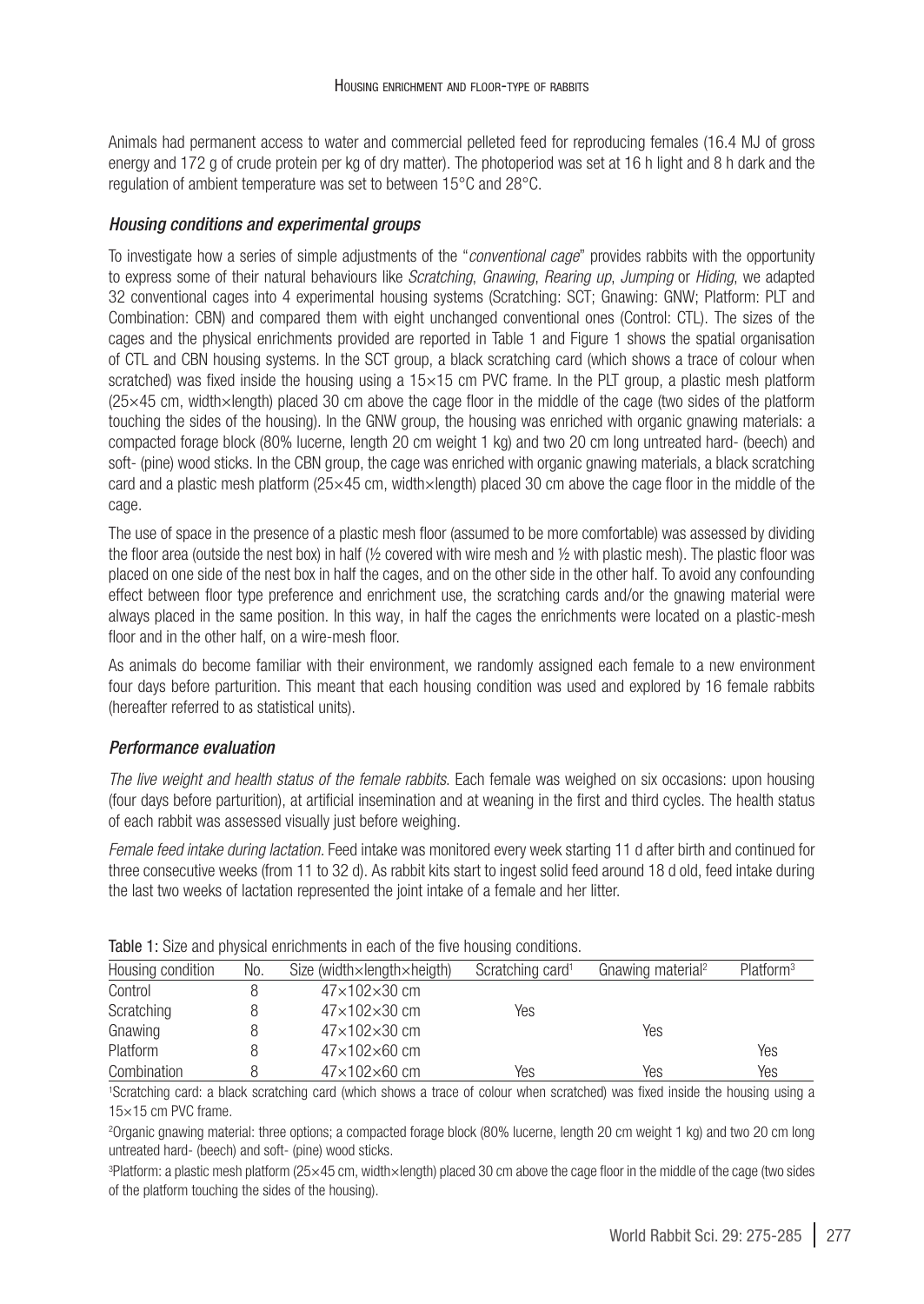Animals had permanent access to water and commercial pelleted feed for reproducing females (16.4 MJ of gross energy and 172 g of crude protein per kg of dry matter). The photoperiod was set at 16 h light and 8 h dark and the regulation of ambient temperature was set to between 15°C and 28°C.

## *Housing conditions and experimental groups*

To investigate how a series of simple adjustments of the "*conventional cage*" provides rabbits with the opportunity to express some of their natural behaviours like *Scratching*, *Gnawing*, *Rearing up*, *Jumping* or *Hiding*, we adapted 32 conventional cages into 4 experimental housing systems (Scratching: SCT; Gnawing: GNW; Platform: PLT and Combination: CBN) and compared them with eight unchanged conventional ones (Control: CTL). The sizes of the cages and the physical enrichments provided are reported in [Table 1](#page-2-0) and Figure 1 shows the spatial organisation of CTL and CBN housing systems. In the SCT group, a black scratching card (which shows a trace of colour when scratched) was fixed inside the housing using a  $15\times15$  cm PVC frame. In the PLT group, a plastic mesh platform (25×45 cm, width×length) placed 30 cm above the cage floor in the middle of the cage (two sides of the platform touching the sides of the housing). In the GNW group, the housing was enriched with organic gnawing materials: a compacted forage block (80% lucerne, length 20 cm weight 1 kg) and two 20 cm long untreated hard- (beech) and soft- (pine) wood sticks. In the CBN group, the cage was enriched with organic gnawing materials, a black scratching card and a plastic mesh platform (25×45 cm, width×length) placed 30 cm above the cage floor in the middle of the cage.

The use of space in the presence of a plastic mesh floor (assumed to be more comfortable) was assessed by dividing the floor area (outside the nest box) in half (½ covered with wire mesh and ½ with plastic mesh). The plastic floor was placed on one side of the nest box in half the cages, and on the other side in the other half. To avoid any confounding effect between floor type preference and enrichment use, the scratching cards and/or the gnawing material were always placed in the same position. In this way, in half the cages the enrichments were located on a plastic-mesh floor and in the other half, on a wire-mesh floor.

As animals do become familiar with their environment, we randomly assigned each female to a new environment four days before parturition. This meant that each housing condition was used and explored by 16 female rabbits (hereafter referred to as statistical units).

# *Performance evaluation*

*The live weight and health status of the female rabbits*. Each female was weighed on six occasions: upon housing (four days before parturition), at artificial insemination and at weaning in the first and third cycles. The health status of each rabbit was assessed visually just before weighing.

*Female feed intake during lactation.* Feed intake was monitored every week starting 11 d after birth and continued for three consecutive weeks (from 11 to 32 d). As rabbit kits start to ingest solid feed around 18 d old, feed intake during the last two weeks of lactation represented the joint intake of a female and her litter.

| Housing condition | No. | Size (width $\times$ length $\times$ heigth) | Scratching card <sup>1</sup> | Gnawing material <sup>2</sup> | Platform <sup>3</sup> |
|-------------------|-----|----------------------------------------------|------------------------------|-------------------------------|-----------------------|
| Control           |     | $47\times102\times30$ cm                     |                              |                               |                       |
| Scratching        |     | $47\times102\times30$ cm                     | Yes                          |                               |                       |
| Gnawing           |     | $47\times102\times30$ cm                     |                              | Yes                           |                       |
| Platform          |     | $47\times102\times60$ cm                     |                              |                               | Yes                   |
| Combination       |     | $47\times102\times60$ cm                     | Yes                          | Yes                           | Yes                   |

<span id="page-2-0"></span>Table 1: Size and physical enrichments in each of the five housing conditions.

1 Scratching card: a black scratching card (which shows a trace of colour when scratched) was fixed inside the housing using a 15×15 cm PVC frame*.*

2 Organic gnawing material: three options; a compacted forage block (80% lucerne, length 20 cm weight 1 kg) and two 20 cm long untreated hard- (beech) and soft- (pine) wood sticks.

3 Platform: a plastic mesh platform (25×45 cm, width×length) placed 30 cm above the cage floor in the middle of the cage (two sides of the platform touching the sides of the housing).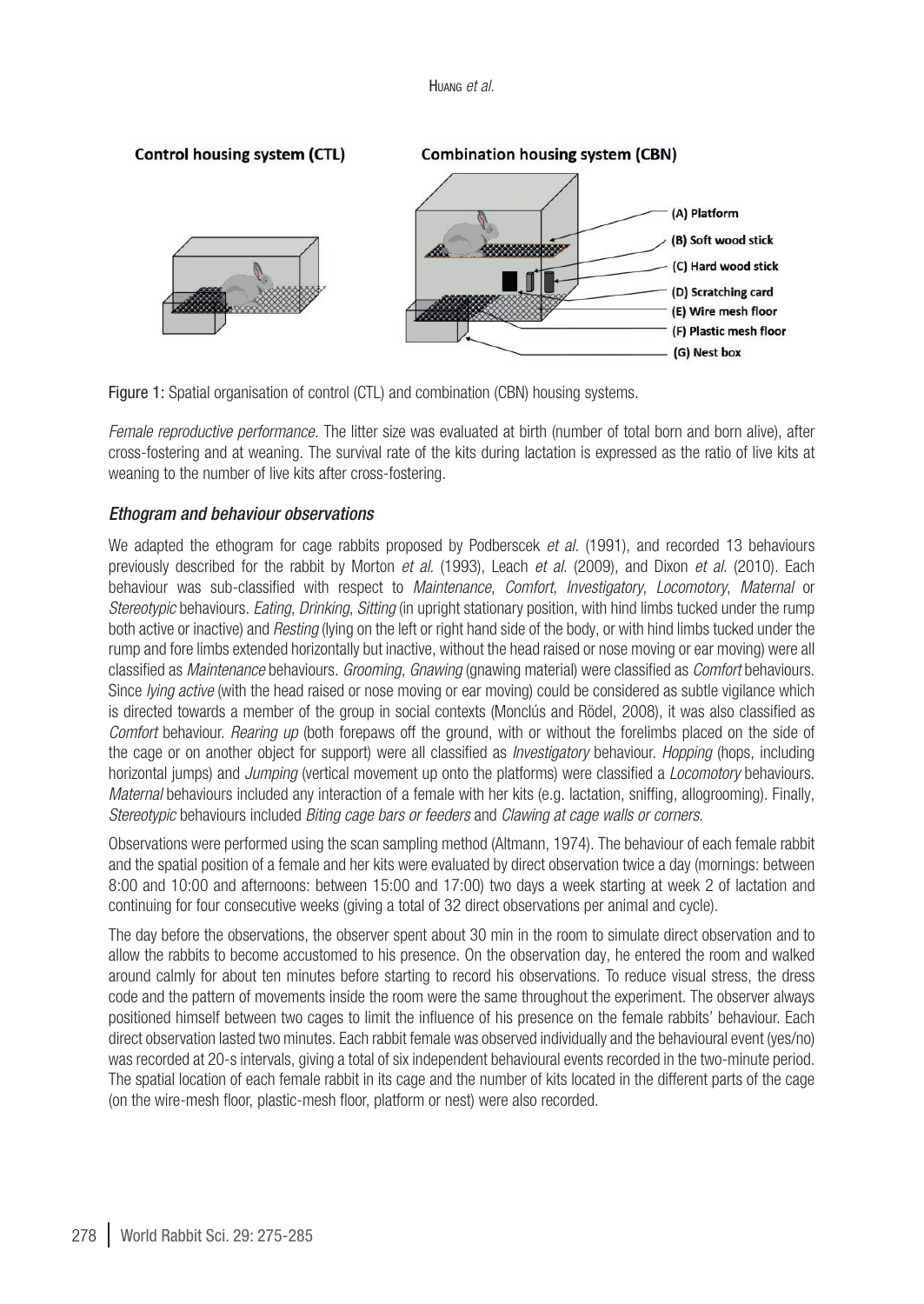

Figure 1: Spatial organisation of control (CTL) and combination (CBN) housing systems.

*Female reproductive performance.* The litter size was evaluated at birth (number of total born and born alive), after cross-fostering and at weaning. The survival rate of the kits during lactation is expressed as the ratio of live kits at weaning to the number of live kits after cross-fostering.

### *Ethogram and behaviour observations*

We adapted the ethogram for cage rabbits proposed by [Podberscek](#page-10-6) *et al.* (1991), and recorded 13 behaviours previously described for the rabbit by [Morton](#page-10-7) *et al.* (1993), Leach *et al.* [\(2009\)](#page-10-3), and Dixon *et al.* [\(2010](#page-9-6)). Each behaviour was sub-classified with respect to *Maintenance*, *Comfort*, *Investigatory*, *Locomotory*, *Maternal* or *Stereotypic* behaviours. *Eating*, *Drinking*, *Sitting* (in upright stationary position, with hind limbs tucked under the rump both active or inactive) and *Resting* (lying on the left or right hand side of the body, or with hind limbs tucked under the rump and fore limbs extended horizontally but inactive, without the head raised or nose moving or ear moving) were all classified as *Maintenance* behaviours. *Grooming*, *Gnawing* (gnawing material) were classified as *Comfort* behaviours. Since *lying active* (with the head raised or nose moving or ear moving) could be considered as subtle vigilance which is directed towards a member of the group in social contexts (Monclús and Rödel, 2008), it was also classified as *Comfort* behaviour. *Rearing up* (both forepaws off the ground, with or without the forelimbs placed on the side of the cage or on another object for support) were all classified as *Investigatory* behaviour. *Hopping* (hops, including horizontal jumps) and *Jumping* (vertical movement up onto the platforms) were classified a *Locomotory* behaviours. *Maternal* behaviours included any interaction of a female with her kits (e.g. lactation, sniffing, allogrooming). Finally, *Stereotypic* behaviours included *Biting cage bars or feeders* and *Clawing at cage walls or corners*.

Observations were performed using the scan sampling method [\(Altmann, 1974](#page-9-7)). The behaviour of each female rabbit and the spatial position of a female and her kits were evaluated by direct observation twice a day (mornings: between 8:00 and 10:00 and afternoons: between 15:00 and 17:00) two days a week starting at week 2 of lactation and continuing for four consecutive weeks (giving a total of 32 direct observations per animal and cycle).

The day before the observations, the observer spent about 30 min in the room to simulate direct observation and to allow the rabbits to become accustomed to his presence. On the observation day, he entered the room and walked around calmly for about ten minutes before starting to record his observations. To reduce visual stress, the dress code and the pattern of movements inside the room were the same throughout the experiment. The observer always positioned himself between two cages to limit the influence of his presence on the female rabbits' behaviour. Each direct observation lasted two minutes. Each rabbit female was observed individually and the behavioural event (yes/no) was recorded at 20-s intervals, giving a total of six independent behavioural events recorded in the two-minute period. The spatial location of each female rabbit in its cage and the number of kits located in the different parts of the cage (on the wire-mesh floor, plastic-mesh floor, platform or nest) were also recorded.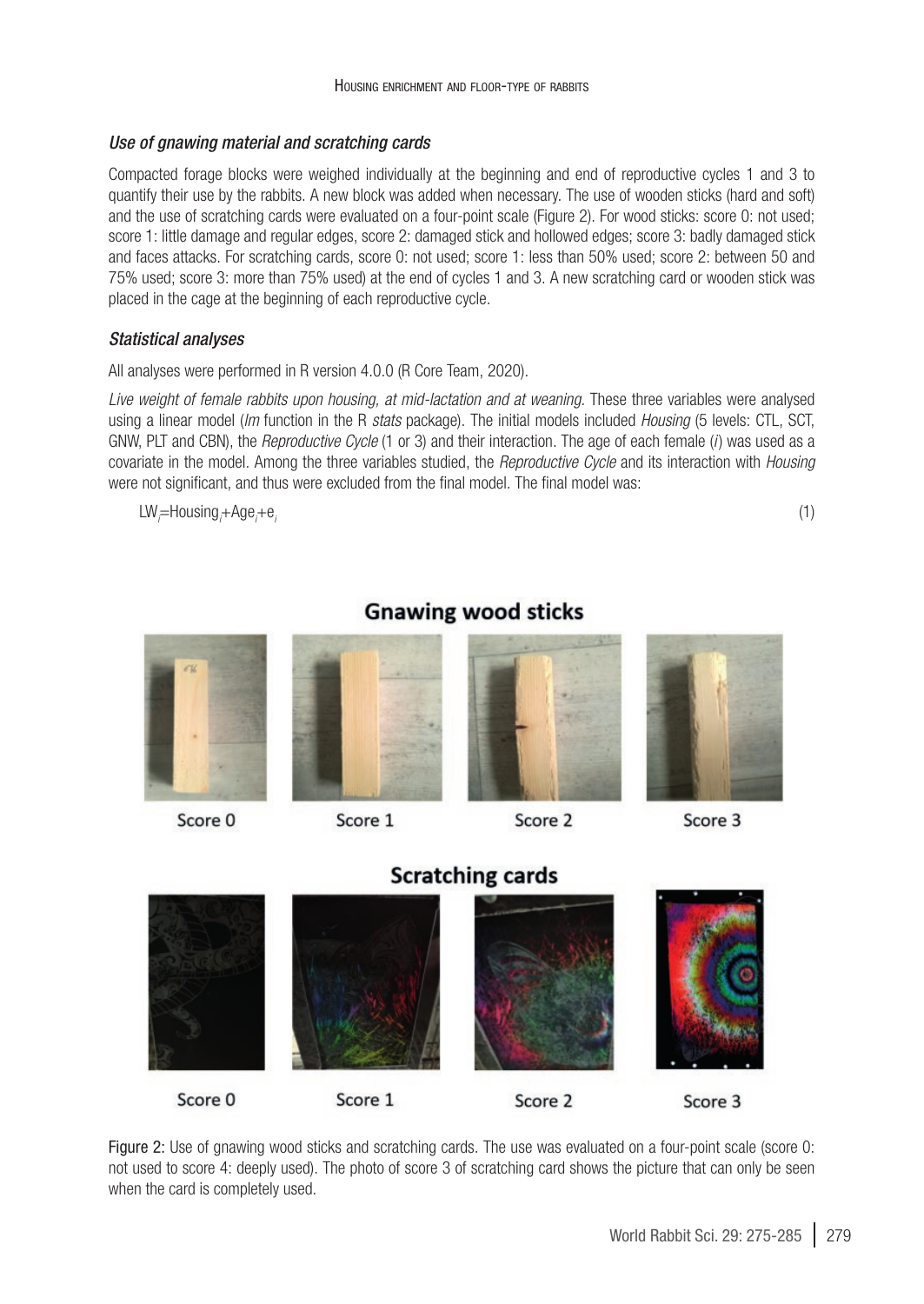#### *Use of gnawing material and scratching cards*

Compacted forage blocks were weighed individually at the beginning and end of reproductive cycles 1 and 3 to quantify their use by the rabbits. A new block was added when necessary. The use of wooden sticks (hard and soft) and the use of scratching cards were evaluated on a four-point scale (Figure 2). For wood sticks: score 0: not used; score 1: little damage and regular edges, score 2: damaged stick and hollowed edges; score 3: badly damaged stick and faces attacks. For scratching cards, score 0: not used; score 1: less than 50% used; score 2: between 50 and 75% used; score 3: more than 75% used) at the end of cycles 1 and 3. A new scratching card or wooden stick was placed in the cage at the beginning of each reproductive cycle.

### *Statistical analyses*

All analyses were performed in R version 4.0.0 (R Core Team, 2020).

*Live weight of female rabbits upon housing, at mid-lactation and at weaning.* These three variables were analysed using a linear model (*lm* function in the R *stats* package). The initial models included *Housing* (5 levels: CTL, SCT, GNW, PLT and CBN), the *Reproductive Cycle* (1 or 3) and their interaction. The age of each female (*i* ) was used as a covariate in the model. Among the three variables studied, the *Reproductive Cycle* and its interaction with *Housing*  were not significant, and thus were excluded from the final model. The final model was:

LW*i* =Housing*<sup>i</sup>* +Age*<sup>i</sup>*  $+e_i$  (1)



# **Gnawing wood sticks**

Score 0



# Score 2



Score 3



Figure 2: Use of gnawing wood sticks and scratching cards. The use was evaluated on a four-point scale (score 0: not used to score 4: deeply used). The photo of score 3 of scratching card shows the picture that can only be seen when the card is completely used.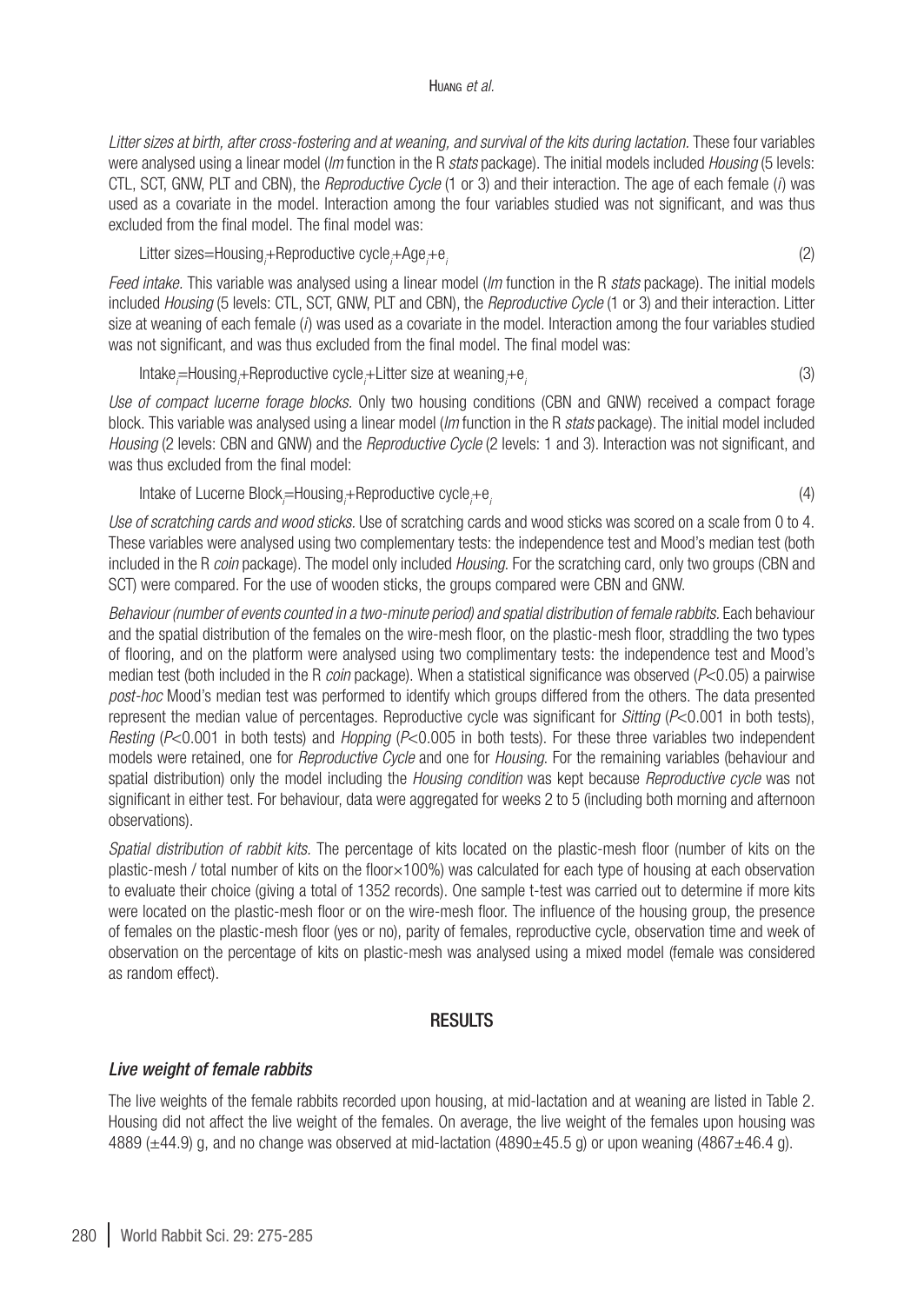#### Huang *et al.*

*Litter sizes at birth, after cross-fostering and at weaning, and survival of the kits during lactation.* These four variables were analysed using a linear model (*lm* function in the R *stats* package). The initial models included *Housing* (5 levels: CTL, SCT, GNW, PLT and CBN), the *Reproductive Cycle* (1 or 3) and their interaction. The age of each female (*i* ) was used as a covariate in the model. Interaction among the four variables studied was not significant, and was thus excluded from the final model. The final model was:

Litter sizes=Housing*<sup>i</sup>* +Reproductive cycle*<sup>i</sup>* +Age*<sup>i</sup>*  $+e_i$  (2)

*Feed intake.* This variable was analysed using a linear model (*lm* function in the R *stats* package). The initial models included *Housing* (5 levels: CTL, SCT, GNW, PLT and CBN), the *Reproductive Cycle* (1 or 3) and their interaction. Litter size at weaning of each female (*i*) was used as a covariate in the model. Interaction among the four variables studied was not significant, and was thus excluded from the final model. The final model was:

Intake<sub>/</sub>=Housing<sub>/</sub>+Reproductive cycle<sub>/</sub>+Litter size at weaning<sub>/</sub>  $+e_i$  (3)

*Use of compact lucerne forage blocks.* Only two housing conditions (CBN and GNW) received a compact forage block. This variable was analysed using a linear model (*lm* function in the R *stats* package). The initial model included *Housing* (2 levels: CBN and GNW) and the *Reproductive Cycle* (2 levels: 1 and 3). Interaction was not significant, and was thus excluded from the final model:

Intake of Lucerne Block<sub>/</sub>=Housing<sub>/</sub>+Reproductive cycle<sub>/</sub>  $+e_i$  (4)

*Use of scratching cards and wood sticks.* Use of scratching cards and wood sticks was scored on a scale from 0 to 4. These variables were analysed using two complementary tests: the independence test and Mood's median test (both included in the R *coin* package). The model only included *Housing*. For the scratching card, only two groups (CBN and SCT) were compared. For the use of wooden sticks, the groups compared were CBN and GNW.

*Behaviour (number of events counted in a two-minute period) and spatial distribution of female rabbits.* Each behaviour and the spatial distribution of the females on the wire-mesh floor, on the plastic-mesh floor, straddling the two types of flooring, and on the platform were analysed using two complimentary tests: the independence test and Mood's median test (both included in the R *coin* package). When a statistical significance was observed (*P*<0.05) a pairwise *post-hoc* Mood's median test was performed to identify which groups differed from the others. The data presented represent the median value of percentages. Reproductive cycle was significant for *Sitting* (*P*<0.001 in both tests), *Resting (P<0.001 in both tests) and <i>Hopping (P<0.005 in both tests)*. For these three variables two independent models were retained, one for *Reproductive Cycle* and one for *Housing*. For the remaining variables (behaviour and spatial distribution) only the model including the *Housing condition* was kept because *Reproductive cycle* was not significant in either test. For behaviour, data were aggregated for weeks 2 to 5 (including both morning and afternoon observations).

*Spatial distribution of rabbit kits.* The percentage of kits located on the plastic-mesh floor (number of kits on the plastic-mesh / total number of kits on the floor×100%) was calculated for each type of housing at each observation to evaluate their choice (giving a total of 1352 records). One sample t-test was carried out to determine if more kits were located on the plastic-mesh floor or on the wire-mesh floor. The influence of the housing group, the presence of females on the plastic-mesh floor (yes or no), parity of females, reproductive cycle, observation time and week of observation on the percentage of kits on plastic-mesh was analysed using a mixed model (female was considered as random effect).

## RESULTS

### *Live weight of female rabbits*

The live weights of the female rabbits recorded upon housing, at mid-lactation and at weaning are listed in [Table 2](#page-6-0). Housing did not affect the live weight of the females. On average, the live weight of the females upon housing was 4889 ( $\pm$ 44.9) g, and no change was observed at mid-lactation (4890 $\pm$ 45.5 g) or upon weaning (4867 $\pm$ 46.4 g).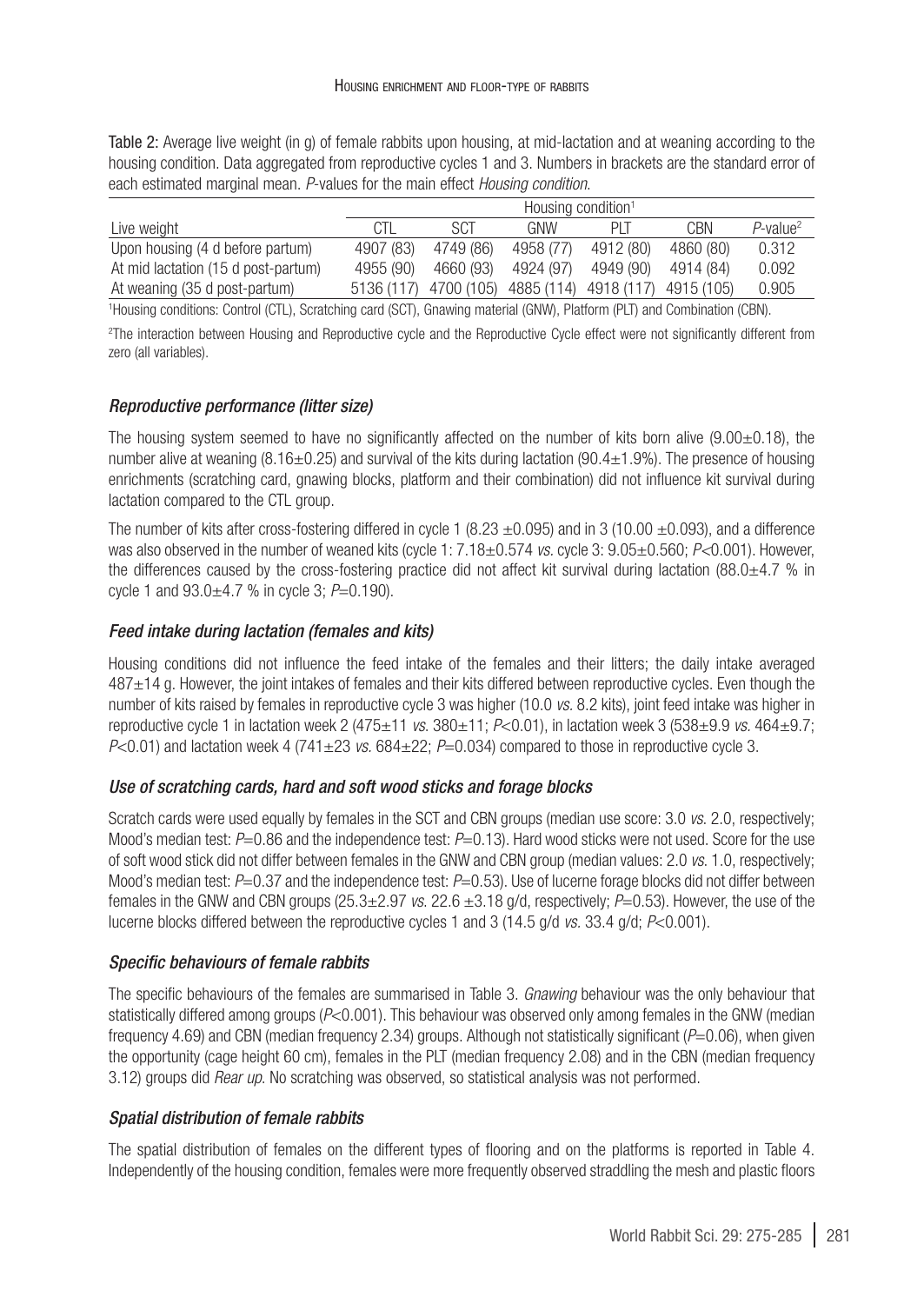<span id="page-6-0"></span>Table 2: Average live weight (in g) of female rabbits upon housing, at mid-lactation and at weaning according to the housing condition. Data aggregated from reproductive cycles 1 and 3. Numbers in brackets are the standard error of each estimated marginal mean. *P*-values for the main effect *Housing condition*.

|                                     | Housing condition <sup>1</sup> |            |            |            |            |                         |  |
|-------------------------------------|--------------------------------|------------|------------|------------|------------|-------------------------|--|
| Live weight                         | CTL                            | SCT        | GNW        | PIT        | CBN        | $P$ -value <sup>2</sup> |  |
| Upon housing (4 d before partum)    | 4907 (83)                      | 4749 (86)  | 4958 (77)  | 4912 (80)  | 4860 (80)  | 0.312                   |  |
| At mid lactation (15 d post-partum) | 4955 (90)                      | 4660 (93)  | 4924 (97)  | 4949 (90)  | 4914 (84)  | 0.092                   |  |
| At weaning (35 d post-partum)       | 5136 (117)                     | 4700 (105) | 4885 (114) | 4918 (117) | 4915 (105) | 0.905                   |  |

1 Housing conditions: Control (CTL), Scratching card (SCT), Gnawing material (GNW), Platform (PLT) and Combination (CBN).

2 The interaction between Housing and Reproductive cycle and the Reproductive Cycle effect were not significantly different from zero (all variables).

### *Reproductive performance (litter size)*

The housing system seemed to have no significantly affected on the number of kits born alive (9.00±0.18), the number alive at weaning (8.16±0.25) and survival of the kits during lactation (90.4±1.9%). The presence of housing enrichments (scratching card, gnawing blocks, platform and their combination) did not influence kit survival during lactation compared to the CTL group.

The number of kits after cross-fostering differed in cycle 1 (8.23  $\pm$ 0.095) and in 3 (10.00  $\pm$ 0.093), and a difference was also observed in the number of weaned kits (cycle 1: 7.18±0.574 *vs.* cycle 3: 9.05±0.560; *P<*0.001). However, the differences caused by the cross-fostering practice did not affect kit survival during lactation  $(88.0\pm4.7\%$  in cycle 1 and 93.0±4.7 % in cycle 3; *P*=0.190).

## *Feed intake during lactation (females and kits)*

Housing conditions did not influence the feed intake of the females and their litters; the daily intake averaged 487±14 g. However, the joint intakes of females and their kits differed between reproductive cycles. Even though the number of kits raised by females in reproductive cycle 3 was higher (10.0 *vs.* 8.2 kits), joint feed intake was higher in reproductive cycle 1 in lactation week 2 (475±11 *vs*. 380±11; *P*<0.01), in lactation week 3 (538±9.9 *vs.* 464±9.7;  $P<0.01$ ) and lactation week 4 (741±23 *vs.* 684±22;  $P=0.034$ ) compared to those in reproductive cycle 3.

### *Use of scratching cards, hard and soft wood sticks and forage blocks*

Scratch cards were used equally by females in the SCT and CBN groups (median use score: 3.0 *vs*. 2.0, respectively; Mood's median test: *P*=0.86 and the independence test: *P*=0.13). Hard wood sticks were not used. Score for the use of soft wood stick did not differ between females in the GNW and CBN group (median values: 2.0 *vs*. 1.0, respectively; Mood's median test: *P*=0.37 and the independence test: *P*=0.53). Use of lucerne forage blocks did not differ between females in the GNW and CBN groups (25.3±2.97 *vs*. 22.6 ±3.18 g/d, respectively; *P*=0.53). However, the use of the lucerne blocks differed between the reproductive cycles 1 and 3 (14.5 g/d *vs.* 33.4 g/d; *P*<0.001).

### *Specific behaviours of female rabbits*

The specific behaviours of the females are summarised in [Table 3.](#page-7-0) *Gnawing* behaviour was the only behaviour that statistically differed among groups ( $P<0.001$ ). This behaviour was observed only among females in the GNW (median frequency 4.69) and CBN (median frequency 2.34) groups. Although not statistically significant (*P*=0.06), when given the opportunity (cage height 60 cm), females in the PLT (median frequency 2.08) and in the CBN (median frequency 3.12) groups did *Rear up*. No scratching was observed, so statistical analysis was not performed.

### *Spatial distribution of female rabbits*

The spatial distribution of females on the different types of flooring and on the platforms is reported in [Table 4](#page-7-1). Independently of the housing condition, females were more frequently observed straddling the mesh and plastic floors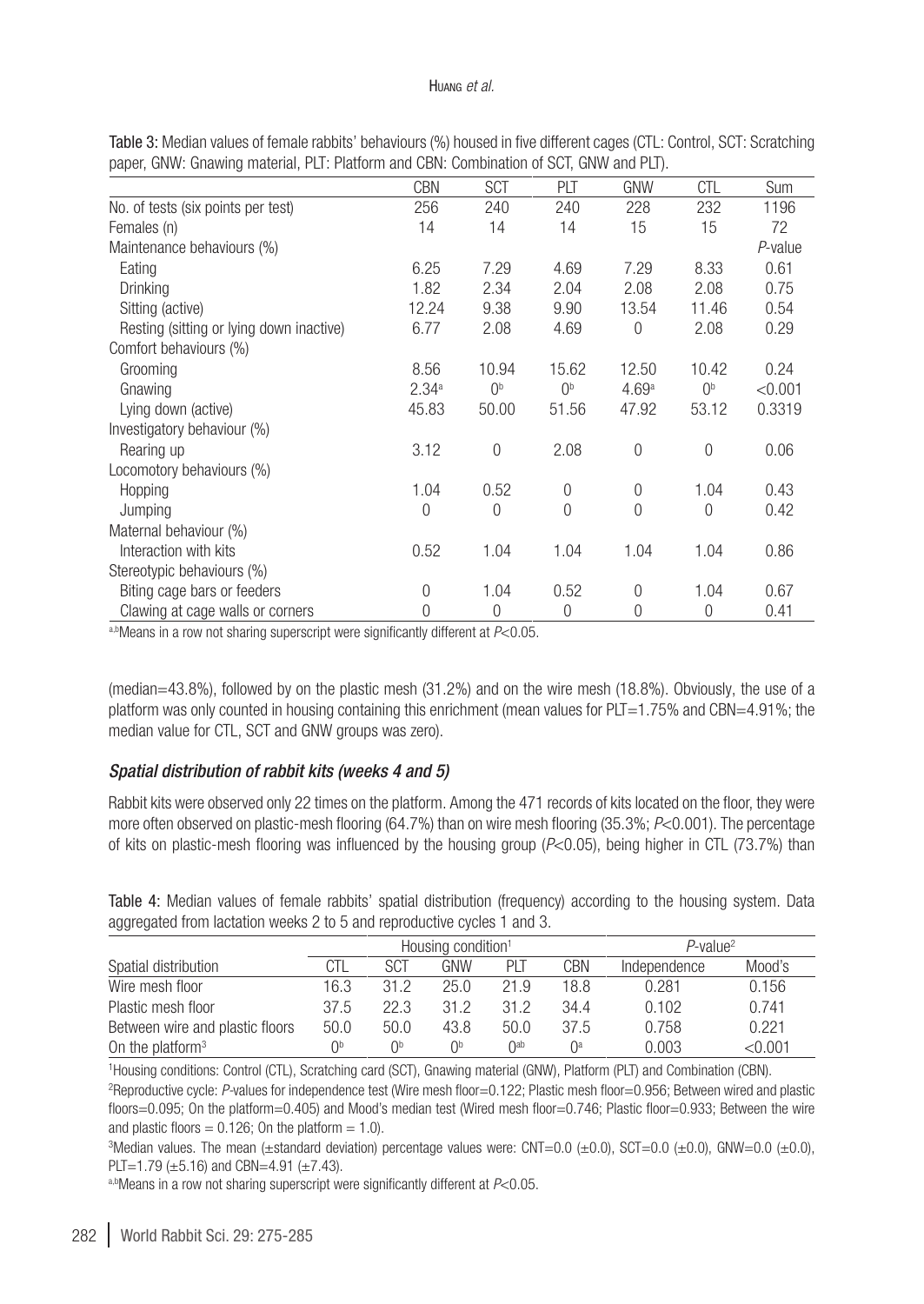#### Huang *et al.*

|                                          | <b>CBN</b>        | <b>SCT</b>      | PLT            | <b>GNW</b>     | <b>CTL</b>     | <b>Sum</b> |
|------------------------------------------|-------------------|-----------------|----------------|----------------|----------------|------------|
| No. of tests (six points per test)       | 256               | 240             | 240            | 228            | 232            | 1196       |
| Females (n)                              | 14                | 14              | 14             | 15             | 15             | 72         |
| Maintenance behaviours (%)               |                   |                 |                |                |                | P-value    |
| Eating                                   | 6.25              | 7.29            | 4.69           | 7.29           | 8.33           | 0.61       |
| Drinking                                 | 1.82              | 2.34            | 2.04           | 2.08           | 2.08           | 0.75       |
| Sitting (active)                         | 12.24             | 9.38            | 9.90           | 13.54          | 11.46          | 0.54       |
| Resting (sitting or lying down inactive) | 6.77              | 2.08            | 4.69           | $\overline{0}$ | 2.08           | 0.29       |
| Comfort behaviours (%)                   |                   |                 |                |                |                |            |
| Grooming                                 | 8.56              | 10.94           | 15.62          | 12.50          | 10.42          | 0.24       |
| Gnawing                                  | 2.34 <sup>a</sup> | $()^{\text{b}}$ | 0 <sup>b</sup> | 4.69a          | 0 <sup>b</sup> | < 0.001    |
| Lying down (active)                      | 45.83             | 50.00           | 51.56          | 47.92          | 53.12          | 0.3319     |
| Investigatory behaviour (%)              |                   |                 |                |                |                |            |
| Rearing up                               | 3.12              | $\Omega$        | 2.08           | $\overline{0}$ | $\Omega$       | 0.06       |
| Locomotory behaviours (%)                |                   |                 |                |                |                |            |
| Hopping                                  | 1.04              | 0.52            | $\overline{0}$ | $\theta$       | 1.04           | 0.43       |
| Jumping                                  | $\Omega$          | $\Omega$        | 0              | $\Omega$       | $\Omega$       | 0.42       |
| Maternal behaviour (%)                   |                   |                 |                |                |                |            |
| Interaction with kits                    | 0.52              | 1.04            | 1.04           | 1.04           | 1.04           | 0.86       |
| Stereotypic behaviours (%)               |                   |                 |                |                |                |            |
| Biting cage bars or feeders              | $\Omega$          | 1.04            | 0.52           | $\theta$       | 1.04           | 0.67       |
| Clawing at cage walls or corners         | $\theta$          | 0               | 0              | $\theta$       | $\mathbf{0}$   | 0.41       |

<span id="page-7-0"></span>Table 3: Median values of female rabbits' behaviours (%) housed in five different cages (CTL: Control, SCT: Scratching paper, GNW: Gnawing material, PLT: Platform and CBN: Combination of SCT, GNW and PLT).

a,bMeans in a row not sharing superscript were significantly different at *P*<0.05.

(median=43.8%), followed by on the plastic mesh (31.2%) and on the wire mesh (18.8%). Obviously, the use of a platform was only counted in housing containing this enrichment (mean values for PLT=1.75% and CBN=4.91%; the median value for CTL, SCT and GNW groups was zero).

# *Spatial distribution of rabbit kits (weeks 4 and 5)*

Rabbit kits were observed only 22 times on the platform. Among the 471 records of kits located on the floor, they were more often observed on plastic-mesh flooring (64.7%) than on wire mesh flooring (35.3%; *P*<0.001). The percentage of kits on plastic-mesh flooring was influenced by the housing group (*P*<0.05), being higher in CTL (73.7%) than

<span id="page-7-1"></span>Table 4: Median values of female rabbits' spatial distribution (frequency) according to the housing system. Data aggregated from lactation weeks 2 to 5 and reproductive cycles 1 and 3.

|                                 | Housing condition <sup>1</sup> |      |      |      | $P$ -value <sup>2</sup> |              |         |
|---------------------------------|--------------------------------|------|------|------|-------------------------|--------------|---------|
| Spatial distribution            | CTL                            | SCT  | GNW  | PIT  | CBN                     | Independence | Mood's  |
| Wire mesh floor                 | 16.3                           | 312  | 25.0 | 21.9 | 18.8                    | 0.281        | 0.156   |
| Plastic mesh floor              | 37.5                           | 22.3 | 312  | 31.2 | 34.4                    | 0.102        | 0.741   |
| Between wire and plastic floors | 50.0                           | 50.0 | 43.8 | 50.0 | 37.5                    | 0.758        | 0.221   |
| On the platform $3$             | Ωp                             | nb   | ∩b   | ∩ab  | ∩a                      | 0.003        | < 0.001 |

1 Housing conditions: Control (CTL), Scratching card (SCT), Gnawing material (GNW), Platform (PLT) and Combination (CBN). 2 Reproductive cycle: *P-*values for independence test (Wire mesh floor=0.122; Plastic mesh floor=0.956; Between wired and plastic floors=0.095; On the platform=0.405) and Mood's median test (Wired mesh floor=0.746; Plastic floor=0.933; Between the wire and plastic floors  $= 0.126$ ; On the platform  $= 1.0$ ).

3 Median values. The mean (±standard deviation) percentage values were: CNT=0.0 (±0.0), SCT=0.0 (±0.0), GNW=0.0 (±0.0), PLT=1.79 ( $\pm$ 5.16) and CBN=4.91 ( $\pm$ 7.43).

a,bMeans in a row not sharing superscript were significantly different at *P*<0.05.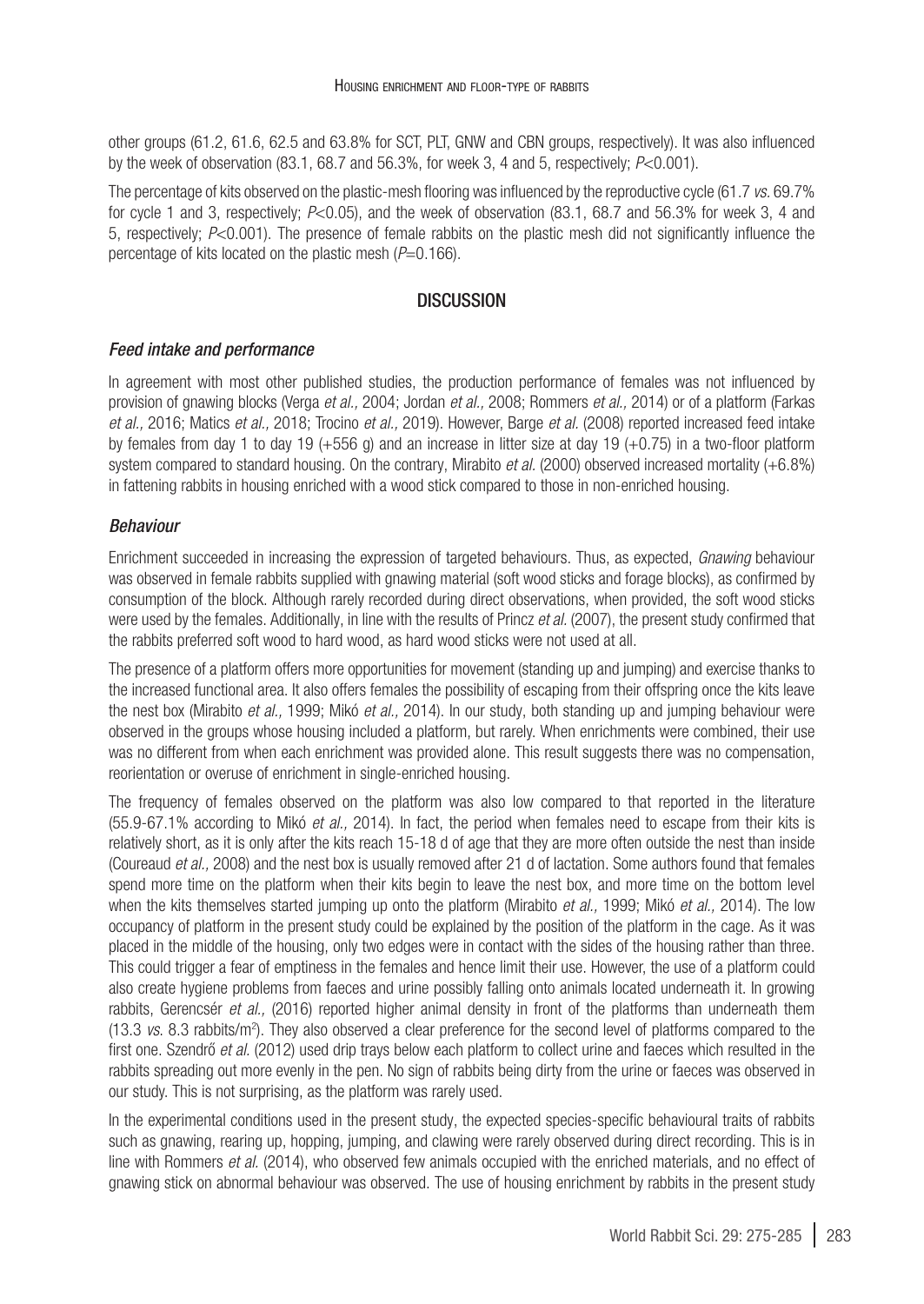other groups (61.2, 61.6, 62.5 and 63.8% for SCT, PLT, GNW and CBN groups, respectively). It was also influenced by the week of observation (83.1, 68.7 and 56.3%, for week 3, 4 and 5, respectively; *P*<0.001).

The percentage of kits observed on the plastic-mesh flooring was influenced by the reproductive cycle (61.7 *vs.* 69.7% for cycle 1 and 3, respectively; *P*<0.05), and the week of observation (83.1, 68.7 and 56.3% for week 3, 4 and 5, respectively; *P*<0.001). The presence of female rabbits on the plastic mesh did not significantly influence the percentage of kits located on the plastic mesh ( $P=0.166$ ).

# **DISCUSSION**

## *Feed intake and performance*

In agreement with most other published studies, the production performance of females was not influenced by provision of gnawing blocks ([Verga](#page-10-8) *et al.,* 2004; [Jordan](#page-10-9) *et al.,* 2008; [Rommers](#page-10-10) *et al.,* 2014) or of a platform [\(Farkas](#page-10-11) *et al.,* [2016](#page-10-11); [Matics](#page-10-12) *et al.,* 2018; [Trocino](#page-10-13) *et al.,* 2019). However, Barge *et al.* [\(2008\)](#page-9-8) reported increased feed intake by females from day 1 to day 19 ( $+556$  g) and an increase in litter size at day 19 ( $+0.75$ ) in a two-floor platform system compared to standard housing. On the contrary, Mirabito *et al.* [\(2000\) observed increased mortality \(+6.8%\)](https://www.linguee.fr/anglais-francais/traduction/on+the+contrary.html) [in fattening rabbits in housing enriched with a wood stick compared to those in non-enriched housing.](https://www.linguee.fr/anglais-francais/traduction/on+the+contrary.html)

## *Behaviour*

Enrichment succeeded in increasing the expression of targeted behaviours. Thus, as expected, *Gnawing* behaviour was observed in female rabbits supplied with gnawing material (soft wood sticks and forage blocks), as confirmed by consumption of the block. Although rarely recorded during direct observations, when provided, the soft wood sticks were used by the females. Additionally, in line with the results of [Princz](#page-10-14) *et al.* (2007), the present study confirmed that the rabbits preferred soft wood to hard wood, as hard wood sticks were not used at all.

The presence of a platform offers more opportunities for movement (standing up and jumping) and exercise thanks to the increased functional area. It also offers females the possibility of escaping from their offspring once the kits leave the nest box ([Mirabito](#page-10-15) *et al.,* 1999; Mikó *et al.,* 2014). In our study, both standing up and jumping behaviour were observed in the groups whose housing included a platform, but rarely. When enrichments were combined, their use was no different from when each enrichment was provided alone. This result suggests there was no compensation, reorientation or overuse of enrichment in single-enriched housing.

The frequency of females observed on the platform was also low compared to that reported in the literature (55.9-67.1% according to Mikó *et al.,* 2014). In fact, the period when females need to escape from their kits is relatively short, as it is only after the kits reach 15-18 d of age that they are more often outside the nest than inside ([Coureaud](#page-9-9) *et al.,* 2008) and the nest box is usually removed after 21 d of lactation. Some authors found that females spend more time on the platform when their kits begin to leave the nest box, and more time on the bottom level when the kits themselves started jumping up onto the platform [\(Mirabito](#page-10-15) *et al.,* 1999; Mikó *et al.,* 2014). The low occupancy of platform in the present study could be explained by the position of the platform in the cage. As it was placed in the middle of the housing, only two edges were in contact with the sides of the housing rather than three. This could trigger a fear of emptiness in the females and hence limit their use. However, the use of a platform could also create hygiene problems from faeces and urine possibly falling onto animals located underneath it. In growing rabbits, Gerencsér *et al.,* (2016) reported higher animal density in front of the platforms than underneath them (13.3 *vs*. 8.3 rabbits/m2 ). They also observed a clear preference for the second level of platforms compared to the first one. Szendrő *et al.* (2012) used drip trays below each platform to collect urine and faeces which resulted in the rabbits spreading out more evenly in the pen. No sign of rabbits being dirty from the urine or faeces was observed in our study. This is not surprising, as the platform was rarely used.

In the experimental conditions used in the present study, the expected species-specific behavioural traits of rabbits such as gnawing, rearing up, hopping, jumping, and clawing were rarely observed during direct recording. This is in line with [Rommers](#page-10-10) *et al.* (2014), who observed few animals occupied with the enriched materials, and no effect of gnawing stick on abnormal behaviour was observed. The use of housing enrichment by rabbits in the present study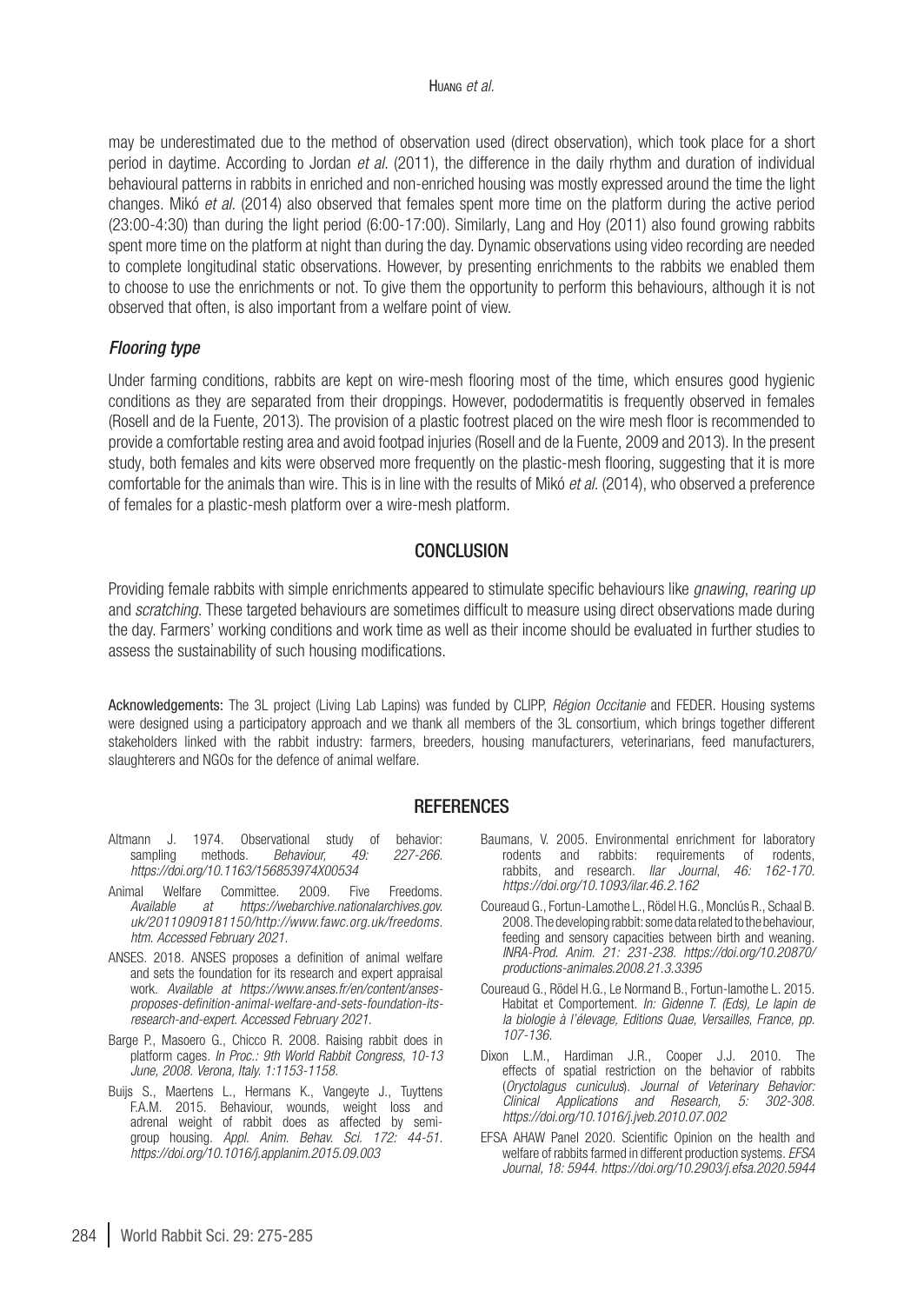may be underestimated due to the method of observation used (direct observation), which took place for a short period in daytime. According to [Jordan](#page-10-16) *et al.* (2011), the difference in the daily rhythm and duration of individual behavioural patterns in rabbits in enriched and non-enriched housing was mostly expressed around the time the light changes. Mikó *et al.* (2014) also observed that females spent more time on the platform during the active period (23:00-4:30) than during the light period (6:00-17:00). Similarly, [Lang and Hoy \(2011](#page-10-17)) also found growing rabbits spent more time on the platform at night than during the day. Dynamic observations using video recording are needed to complete longitudinal static observations. However, by presenting enrichments to the rabbits we enabled them to choose to use the enrichments or not. To give them the opportunity to perform this behaviours, although it is not observed that often, is also important from a welfare point of view.

#### *Flooring type*

Under farming conditions, rabbits are kept on wire-mesh flooring most of the time, which ensures good hygienic conditions as they are separated from their droppings. However, pododermatitis is frequently observed in females ([Rosell and de la Fuente, 2013](#page-10-18)). The provision of a plastic footrest placed on the wire mesh floor is recommended to provide a comfortable resting area and avoid footpad injuries ([Rosell and de la Fuente, 2009](#page-10-5) and [2013](#page-10-18)). In the present study, both females and kits were observed more frequently on the plastic-mesh flooring, suggesting that it is more comfortable for the animals than wire. This is in line with the results of Mikó *et al.* (2014), who observed a preference of females for a plastic-mesh platform over a wire-mesh platform.

#### CONCLUSION

Providing female rabbits with simple enrichments appeared to stimulate specific behaviours like *gnawing*, *rearing up*  and *scratching*. These targeted behaviours are sometimes difficult to measure using direct observations made during the day. Farmers' working conditions and work time as well as their income should be evaluated in further studies to assess the sustainability of such housing modifications.

Acknowledgements: The 3L project (Living Lab Lapins) was funded by CLIPP, *Région Occitanie* and FEDER. Housing systems were designed using a participatory approach and we thank all members of the 3L consortium, which brings together different stakeholders linked with the rabbit industry: farmers, breeders, housing manufacturers, veterinarians, feed manufacturers, slaughterers and NGOs for the defence of animal welfare.

#### **REFERENCES**

- <span id="page-9-7"></span>Altmann J. 1974. Observational study of behavior:<br>sampling methods *Behaviour 49: 227-266* sampling methods. *Behaviour*, 49: *<https://doi.org/10.1163/156853974X00534>*
- <span id="page-9-2"></span>Animal Welfare Committee. 2009. Five Freedoms. *Available at [https://webarchive.nationalarchives.gov.](https://webarchive.nationalarchives.gov.uk/20110909181150/http://www.fawc.org.uk/freedoms.htm) [uk/20110909181150/http://www.fawc.org.uk/freedoms.](https://webarchive.nationalarchives.gov.uk/20110909181150/http://www.fawc.org.uk/freedoms.htm) [htm](https://webarchive.nationalarchives.gov.uk/20110909181150/http://www.fawc.org.uk/freedoms.htm). Accessed February 2021.*
- <span id="page-9-3"></span>ANSES. 2018. ANSES proposes a definition of animal welfare and sets the foundation for its research and expert appraisal work. *Available at [https://www.anses.fr/en/content/anses](https://www.anses.fr/en/content/anses-proposes-definition-animal-welfare-and-sets-foundation-its-research-and-expert)[proposes-definition-animal-welfare-and-sets-foundation-its](https://www.anses.fr/en/content/anses-proposes-definition-animal-welfare-and-sets-foundation-its-research-and-expert)[research-and-expert](https://www.anses.fr/en/content/anses-proposes-definition-animal-welfare-and-sets-foundation-its-research-and-expert). Accessed February 2021.*
- <span id="page-9-8"></span>Barge P., Masoero G., Chicco R. 2008. Raising rabbit does in platform cages. *In Proc.: 9th World Rabbit Congress, 10-13 June, 2008. Verona, Italy. 1:1153-1158.*
- <span id="page-9-5"></span>Buijs S., Maertens L., Hermans K., Vangeyte J., Tuyttens F.A.M. 2015. Behaviour, wounds, weight loss and adrenal weight of rabbit does as affected by semigroup housing. *Appl. Anim. Behav. Sci. 172: 44-51. <https://doi.org/10.1016/j.applanim.2015.09.003>*
- <span id="page-9-4"></span>Baumans, V. 2005. Environmental enrichment for laboratory rodents and rabbits: requirements of rodents, rabbits, and research. *Ilar Journal*, *46: 162-170. <https://doi.org/10.1093/ilar.46.2.162>*
- <span id="page-9-9"></span>Coureaud G., Fortun-Lamothe L., Rödel H.G., Monclús R., Schaal B. 2008. The developing rabbit: some data related to the behaviour, feeding and sensory capacities between birth and weaning. *INRA-Prod. Anim. 21: 231-238. [https://doi.org/10.20870/](https://doi.org/10.20870/productions-animales.2008.21.3.3395) [productions-animales.2008.21.3.3395](https://doi.org/10.20870/productions-animales.2008.21.3.3395)*
- <span id="page-9-0"></span>Coureaud G., Rödel H.G., Le Normand B., Fortun-lamothe L. 2015. Habitat et Comportement. *In: Gidenne T. (Eds), Le lapin de la biologie à l'élevage, Editions Quae, Versailles, France, pp. 107-136.*
- <span id="page-9-6"></span>Dixon L.M., Hardiman J.R., Cooper J.J. 2010. The effects of spatial restriction on the behavior of rabbits (*Oryctolagus cuniculus*). *Journal of Veterinary Behavior: Clinical Applications and Research, 5: 302-308. <https://doi.org/10.1016/j.jveb.2010.07.002>*
- <span id="page-9-1"></span>EFSA AHAW Panel 2020. Scientific Opinion on the health and welfare of rabbits farmed in different production systems. *EFSA Journal, 18: 5944*. *<https://doi.org/10.2903/j.efsa.2020.5944>*